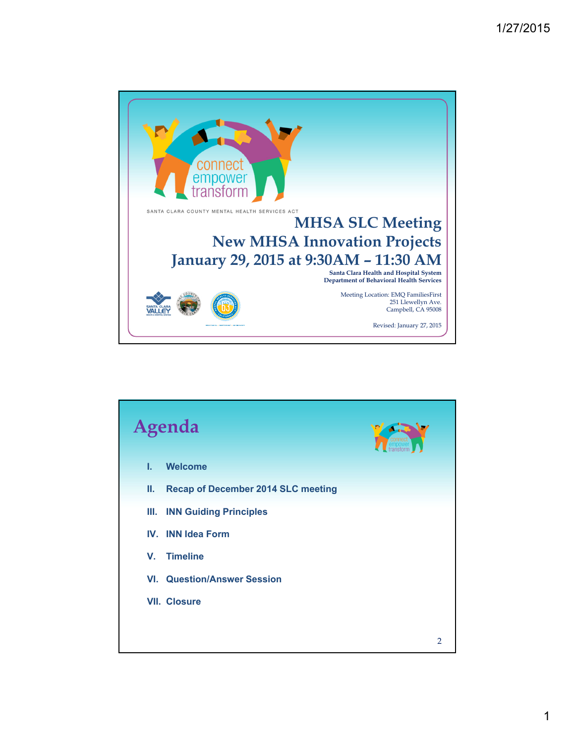

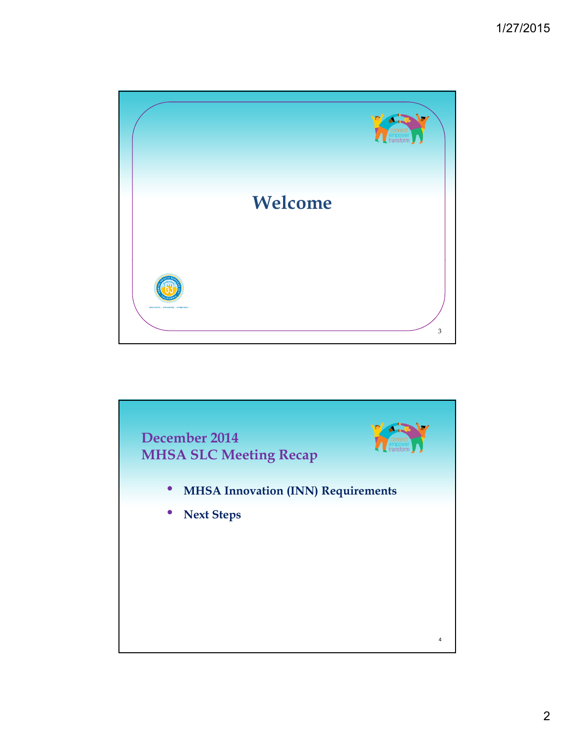

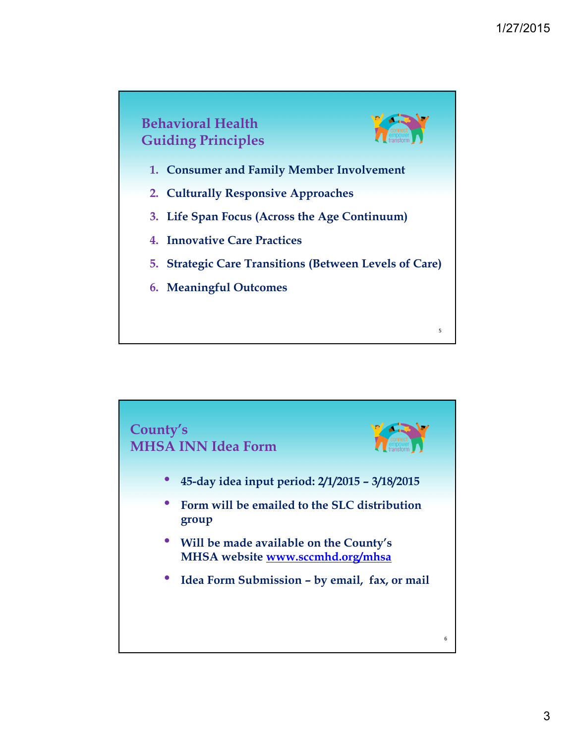

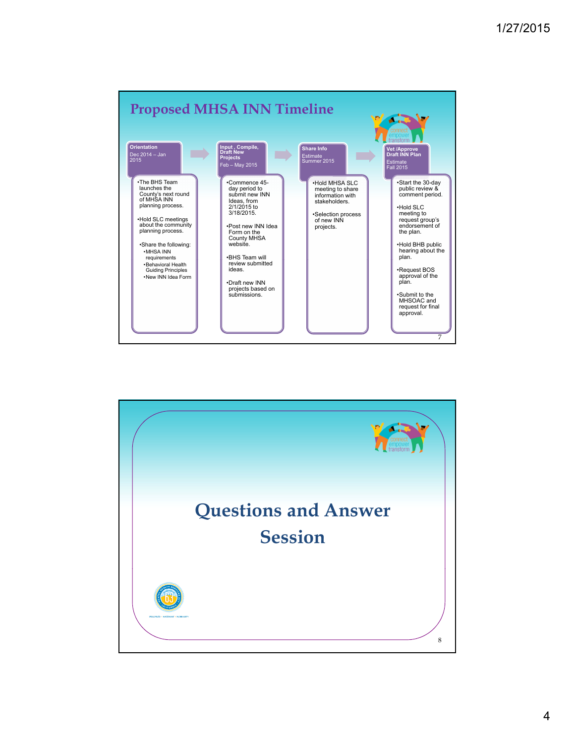